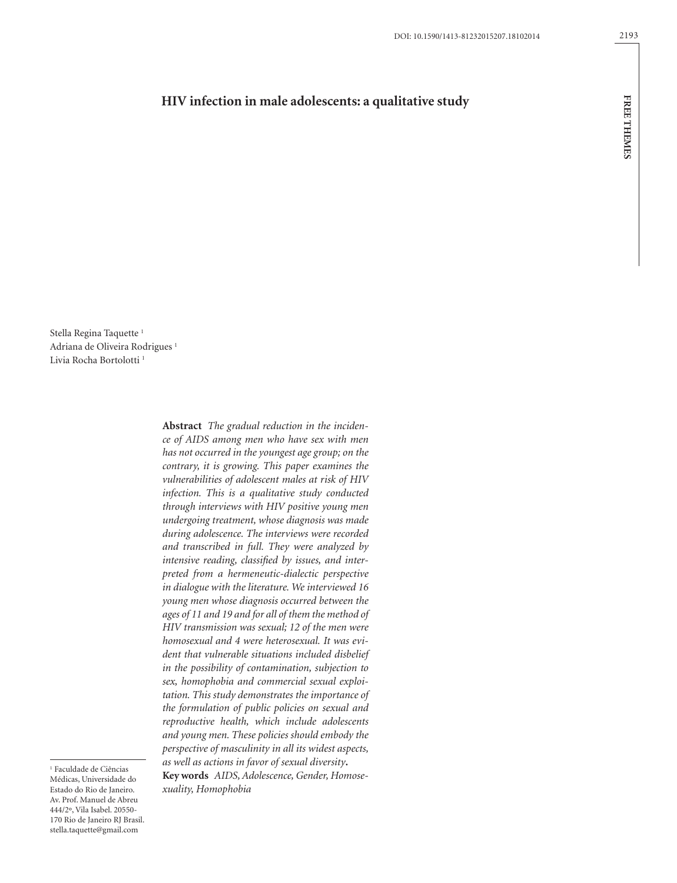## **HIV infection in male adolescents: a qualitative study**

Stella Regina Taquette<sup>1</sup> Adriana de Oliveira Rodrigues 1 Livia Rocha Bortolotti<sup>1</sup>

> **Abstract** *The gradual reduction in the incidence of AIDS among men who have sex with men has not occurred in the youngest age group; on the contrary, it is growing. This paper examines the vulnerabilities of adolescent males at risk of HIV infection. This is a qualitative study conducted through interviews with HIV positive young men undergoing treatment, whose diagnosis was made during adolescence. The interviews were recorded and transcribed in full. They were analyzed by intensive reading, classified by issues, and interpreted from a hermeneutic-dialectic perspective in dialogue with the literature. We interviewed 16 young men whose diagnosis occurred between the ages of 11 and 19 and for all of them the method of HIV transmission was sexual; 12 of the men were homosexual and 4 were heterosexual. It was evident that vulnerable situations included disbelief in the possibility of contamination, subjection to sex, homophobia and commercial sexual exploitation. This study demonstrates the importance of the formulation of public policies on sexual and reproductive health, which include adolescents and young men. These policies should embody the perspective of masculinity in all its widest aspects, as well as actions in favor of sexual diversity***.**

**Key words** *AIDS, Adolescence, Gender, Homosexuality, Homophobia*

2193

<sup>1</sup> Faculdade de Ciências Médicas, Universidade do Estado do Rio de Janeiro. Av. Prof. Manuel de Abreu 444/2º, Vila Isabel. 20550- 170 Rio de Janeiro RJ Brasil. stella.taquette@gmail.com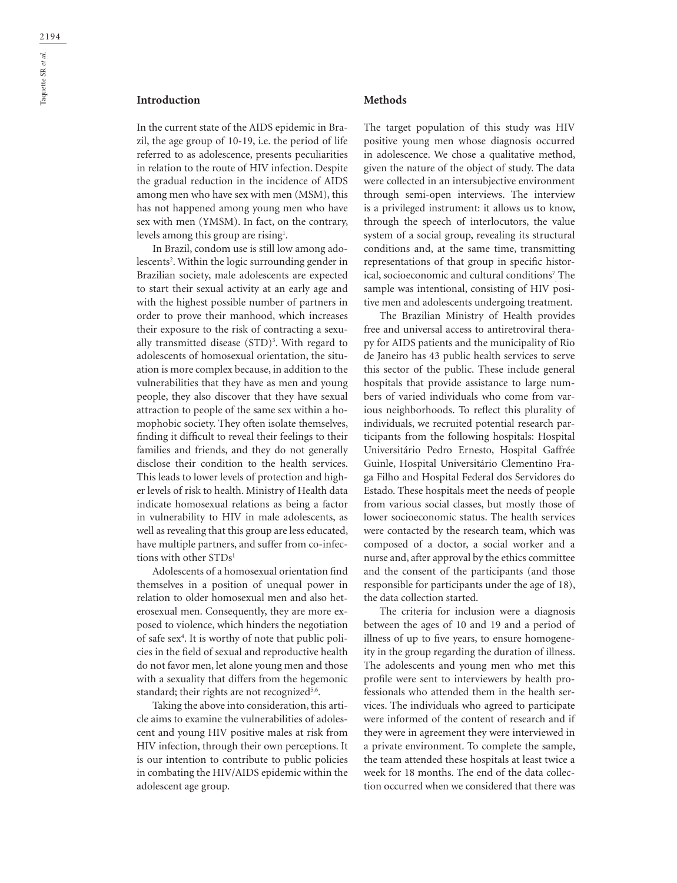# **Introduction**

In the current state of the AIDS epidemic in Brazil, the age group of 10-19, i.e. the period of life referred to as adolescence, presents peculiarities in relation to the route of HIV infection. Despite the gradual reduction in the incidence of AIDS among men who have sex with men (MSM), this has not happened among young men who have sex with men (YMSM). In fact, on the contrary, levels among this group are rising<sup>1</sup>.

In Brazil, condom use is still low among adolescents<sup>2</sup>. Within the logic surrounding gender in Brazilian society, male adolescents are expected to start their sexual activity at an early age and with the highest possible number of partners in order to prove their manhood, which increases their exposure to the risk of contracting a sexually transmitted disease  $(TD)^3$ . With regard to adolescents of homosexual orientation, the situation is more complex because, in addition to the vulnerabilities that they have as men and young people, they also discover that they have sexual attraction to people of the same sex within a homophobic society. They often isolate themselves, finding it difficult to reveal their feelings to their families and friends, and they do not generally disclose their condition to the health services. This leads to lower levels of protection and higher levels of risk to health. Ministry of Health data indicate homosexual relations as being a factor in vulnerability to HIV in male adolescents, as well as revealing that this group are less educated, have multiple partners, and suffer from co-infections with other STDs<sup>1</sup>

Adolescents of a homosexual orientation find themselves in a position of unequal power in relation to older homosexual men and also heterosexual men. Consequently, they are more exposed to violence, which hinders the negotiation of safe sex4 . It is worthy of note that public policies in the field of sexual and reproductive health do not favor men, let alone young men and those with a sexuality that differs from the hegemonic standard; their rights are not recognized<sup>5,6</sup>.

Taking the above into consideration, this article aims to examine the vulnerabilities of adolescent and young HIV positive males at risk from HIV infection, through their own perceptions. It is our intention to contribute to public policies in combating the HIV/AIDS epidemic within the adolescent age group.

### **Methods**

The target population of this study was HIV positive young men whose diagnosis occurred in adolescence. We chose a qualitative method, given the nature of the object of study. The data were collected in an intersubjective environment through semi-open interviews. The interview is a privileged instrument: it allows us to know, through the speech of interlocutors, the value system of a social group, revealing its structural conditions and, at the same time, transmitting representations of that group in specific historical, socioeconomic and cultural conditions<sup>7</sup> The sample was intentional, consisting of HIV positive men and adolescents undergoing treatment.

The Brazilian Ministry of Health provides free and universal access to antiretroviral therapy for AIDS patients and the municipality of Rio de Janeiro has 43 public health services to serve this sector of the public. These include general hospitals that provide assistance to large numbers of varied individuals who come from various neighborhoods. To reflect this plurality of individuals, we recruited potential research participants from the following hospitals: Hospital Universitário Pedro Ernesto, Hospital Gaffrée Guinle, Hospital Universitário Clementino Fraga Filho and Hospital Federal dos Servidores do Estado. These hospitals meet the needs of people from various social classes, but mostly those of lower socioeconomic status. The health services were contacted by the research team, which was composed of a doctor, a social worker and a nurse and, after approval by the ethics committee and the consent of the participants (and those responsible for participants under the age of 18), the data collection started.

The criteria for inclusion were a diagnosis between the ages of 10 and 19 and a period of illness of up to five years, to ensure homogeneity in the group regarding the duration of illness. The adolescents and young men who met this profile were sent to interviewers by health professionals who attended them in the health services. The individuals who agreed to participate were informed of the content of research and if they were in agreement they were interviewed in a private environment. To complete the sample, the team attended these hospitals at least twice a week for 18 months. The end of the data collection occurred when we considered that there was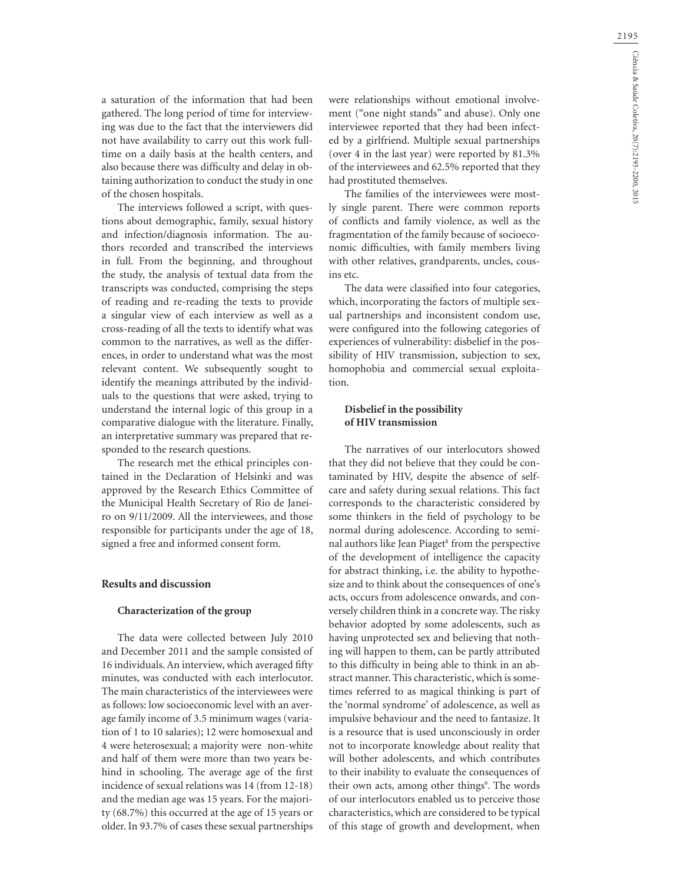a saturation of the information that had been gathered. The long period of time for interviewing was due to the fact that the interviewers did not have availability to carry out this work fulltime on a daily basis at the health centers, and also because there was difficulty and delay in obtaining authorization to conduct the study in one of the chosen hospitals.

The interviews followed a script, with questions about demographic, family, sexual history and infection/diagnosis information. The authors recorded and transcribed the interviews in full. From the beginning, and throughout the study, the analysis of textual data from the transcripts was conducted, comprising the steps of reading and re-reading the texts to provide a singular view of each interview as well as a cross-reading of all the texts to identify what was common to the narratives, as well as the differences, in order to understand what was the most relevant content. We subsequently sought to identify the meanings attributed by the individuals to the questions that were asked, trying to understand the internal logic of this group in a comparative dialogue with the literature. Finally, an interpretative summary was prepared that responded to the research questions.

The research met the ethical principles contained in the Declaration of Helsinki and was approved by the Research Ethics Committee of the Municipal Health Secretary of Rio de Janeiro on 9/11/2009. All the interviewees, and those responsible for participants under the age of 18, signed a free and informed consent form.

#### **Results and discussion**

#### **Characterization of the group**

The data were collected between July 2010 and December 2011 and the sample consisted of 16 individuals. An interview, which averaged fifty minutes, was conducted with each interlocutor. The main characteristics of the interviewees were as follows: low socioeconomic level with an average family income of 3.5 minimum wages (variation of 1 to 10 salaries); 12 were homosexual and 4 were heterosexual; a majority were non-white and half of them were more than two years behind in schooling. The average age of the first incidence of sexual relations was 14 (from 12-18) and the median age was 15 years. For the majority (68.7%) this occurred at the age of 15 years or older. In 93.7% of cases these sexual partnerships

were relationships without emotional involvement ("one night stands" and abuse). Only one interviewee reported that they had been infected by a girlfriend. Multiple sexual partnerships (over 4 in the last year) were reported by 81.3% of the interviewees and 62.5% reported that they had prostituted themselves.

The families of the interviewees were mostly single parent. There were common reports of conflicts and family violence, as well as the fragmentation of the family because of socioeconomic difficulties, with family members living with other relatives, grandparents, uncles, cousins etc.

The data were classified into four categories, which, incorporating the factors of multiple sexual partnerships and inconsistent condom use, were configured into the following categories of experiences of vulnerability: disbelief in the possibility of HIV transmission, subjection to sex, homophobia and commercial sexual exploitation.

### **Disbelief in the possibility of HIV transmission**

The narratives of our interlocutors showed that they did not believe that they could be contaminated by HIV, despite the absence of selfcare and safety during sexual relations. This fact corresponds to the characteristic considered by some thinkers in the field of psychology to be normal during adolescence. According to seminal authors like Jean Piaget $\frac{8}{3}$  from the perspective of the development of intelligence the capacity for abstract thinking, i.e. the ability to hypothesize and to think about the consequences of one's acts, occurs from adolescence onwards, and conversely children think in a concrete way. The risky behavior adopted by some adolescents, such as having unprotected sex and believing that nothing will happen to them, can be partly attributed to this difficulty in being able to think in an abstract manner. This characteristic, which is sometimes referred to as magical thinking is part of the 'normal syndrome' of adolescence, as well as impulsive behaviour and the need to fantasize. It is a resource that is used unconsciously in order not to incorporate knowledge about reality that will bother adolescents, and which contributes to their inability to evaluate the consequences of their own acts, among other things<sup>9</sup>. The words of our interlocutors enabled us to perceive those characteristics, which are considered to be typical of this stage of growth and development, when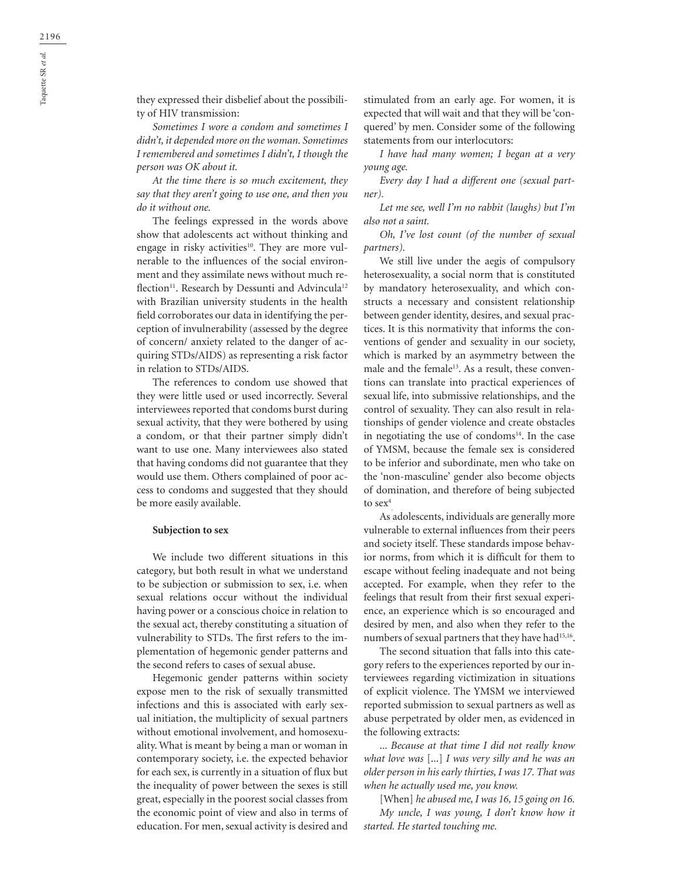they expressed their disbelief about the possibility of HIV transmission:

*Sometimes I wore a condom and sometimes I didn't, it depended more on the woman. Sometimes I remembered and sometimes I didn't, I though the person was OK about it.* 

*At the time there is so much excitement, they say that they aren't going to use one, and then you do it without one.* 

The feelings expressed in the words above show that adolescents act without thinking and engage in risky activities<sup>10</sup>. They are more vulnerable to the influences of the social environment and they assimilate news without much reflection<sup>11</sup>. Research by Dessunti and Advincula<sup>12</sup> with Brazilian university students in the health field corroborates our data in identifying the perception of invulnerability (assessed by the degree of concern/ anxiety related to the danger of acquiring STDs/AIDS) as representing a risk factor in relation to STDs/AIDS.

The references to condom use showed that they were little used or used incorrectly. Several interviewees reported that condoms burst during sexual activity, that they were bothered by using a condom, or that their partner simply didn't want to use one. Many interviewees also stated that having condoms did not guarantee that they would use them. Others complained of poor access to condoms and suggested that they should be more easily available.

#### **Subjection to sex**

We include two different situations in this category, but both result in what we understand to be subjection or submission to sex, i.e. when sexual relations occur without the individual having power or a conscious choice in relation to the sexual act, thereby constituting a situation of vulnerability to STDs. The first refers to the implementation of hegemonic gender patterns and the second refers to cases of sexual abuse.

Hegemonic gender patterns within society expose men to the risk of sexually transmitted infections and this is associated with early sexual initiation, the multiplicity of sexual partners without emotional involvement, and homosexuality. What is meant by being a man or woman in contemporary society, i.e. the expected behavior for each sex, is currently in a situation of flux but the inequality of power between the sexes is still great, especially in the poorest social classes from the economic point of view and also in terms of education. For men, sexual activity is desired and

stimulated from an early age. For women, it is expected that will wait and that they will be 'conquered' by men. Consider some of the following statements from our interlocutors:

*I have had many women; I began at a very young age.*

*Every day I had a different one (sexual partner).*

*Let me see, well I'm no rabbit (laughs) but I'm also not a saint.*

*Oh, I've lost count (of the number of sexual partners).* 

We still live under the aegis of compulsory heterosexuality, a social norm that is constituted by mandatory heterosexuality, and which constructs a necessary and consistent relationship between gender identity, desires, and sexual practices. It is this normativity that informs the conventions of gender and sexuality in our society, which is marked by an asymmetry between the male and the female<sup>13</sup>. As a result, these conventions can translate into practical experiences of sexual life, into submissive relationships, and the control of sexuality. They can also result in relationships of gender violence and create obstacles in negotiating the use of condoms $14$ . In the case of YMSM, because the female sex is considered to be inferior and subordinate, men who take on the 'non-masculine' gender also become objects of domination, and therefore of being subjected to sex<sup>4</sup>

. As adolescents, individuals are generally more vulnerable to external influences from their peers and society itself. These standards impose behavior norms, from which it is difficult for them to escape without feeling inadequate and not being accepted. For example, when they refer to the feelings that result from their first sexual experience, an experience which is so encouraged and desired by men, and also when they refer to the numbers of sexual partners that they have had<sup>15,16</sup>.

The second situation that falls into this category refers to the experiences reported by our interviewees regarding victimization in situations of explicit violence. The YMSM we interviewed reported submission to sexual partners as well as abuse perpetrated by older men, as evidenced in the following extracts:

... *Because at that time I did not really know what love was* [...] *I was very silly and he was an older person in his early thirties, I was 17. That was when he actually used me, you know.*

[When] *he abused me, I was 16, 15 going on 16. My uncle, I was young, I don't know how it started. He started touching me.*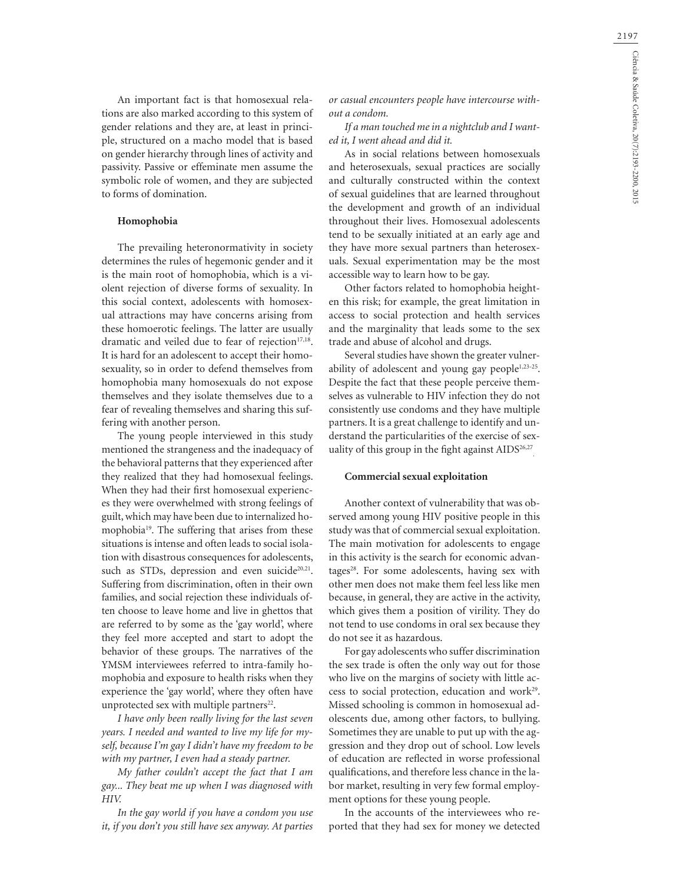An important fact is that homosexual relations are also marked according to this system of gender relations and they are, at least in principle, structured on a macho model that is based on gender hierarchy through lines of activity and passivity. Passive or effeminate men assume the symbolic role of women, and they are subjected to forms of domination.

#### **Homophobia**

The prevailing heteronormativity in society determines the rules of hegemonic gender and it is the main root of homophobia, which is a violent rejection of diverse forms of sexuality. In this social context, adolescents with homosexual attractions may have concerns arising from these homoerotic feelings. The latter are usually dramatic and veiled due to fear of rejection<sup>17,18</sup>. It is hard for an adolescent to accept their homosexuality, so in order to defend themselves from homophobia many homosexuals do not expose themselves and they isolate themselves due to a fear of revealing themselves and sharing this suffering with another person.

The young people interviewed in this study mentioned the strangeness and the inadequacy of the behavioral patterns that they experienced after they realized that they had homosexual feelings. When they had their first homosexual experiences they were overwhelmed with strong feelings of guilt, which may have been due to internalized homophobia19. The suffering that arises from these situations is intense and often leads to social isolation with disastrous consequences for adolescents, such as STDs, depression and even suicide $20,21$ . Suffering from discrimination, often in their own families, and social rejection these individuals often choose to leave home and live in ghettos that are referred to by some as the 'gay world', where they feel more accepted and start to adopt the behavior of these groups. The narratives of the YMSM interviewees referred to intra-family homophobia and exposure to health risks when they experience the 'gay world', where they often have unprotected sex with multiple partners<sup>22</sup>.

*I have only been really living for the last seven years. I needed and wanted to live my life for myself, because I'm gay I didn't have my freedom to be with my partner, I even had a steady partner.*

*My father couldn't accept the fact that I am gay... They beat me up when I was diagnosed with HIV.*

*In the gay world if you have a condom you use it, if you don't you still have sex anyway. At parties*  *or casual encounters people have intercourse without a condom.*

## *If a man touched me in a nightclub and I wanted it, I went ahead and did it.*

As in social relations between homosexuals and heterosexuals, sexual practices are socially and culturally constructed within the context of sexual guidelines that are learned throughout the development and growth of an individual throughout their lives. Homosexual adolescents tend to be sexually initiated at an early age and they have more sexual partners than heterosexuals. Sexual experimentation may be the most accessible way to learn how to be gay.

Other factors related to homophobia heighten this risk; for example, the great limitation in access to social protection and health services and the marginality that leads some to the sex trade and abuse of alcohol and drugs.

Several studies have shown the greater vulnerability of adolescent and young gay people<sup>1,23-25</sup>. Despite the fact that these people perceive themselves as vulnerable to HIV infection they do not consistently use condoms and they have multiple partners. It is a great challenge to identify and understand the particularities of the exercise of sexuality of this group in the fight against AIDS<sup>26,27</sup>

#### **Commercial sexual exploitation**

Another context of vulnerability that was observed among young HIV positive people in this study was that of commercial sexual exploitation. The main motivation for adolescents to engage in this activity is the search for economic advantages<sup>28</sup>. For some adolescents, having sex with other men does not make them feel less like men because, in general, they are active in the activity, which gives them a position of virility. They do not tend to use condoms in oral sex because they do not see it as hazardous.

For gay adolescents who suffer discrimination the sex trade is often the only way out for those who live on the margins of society with little access to social protection, education and work $29$ . Missed schooling is common in homosexual adolescents due, among other factors, to bullying. Sometimes they are unable to put up with the aggression and they drop out of school. Low levels of education are reflected in worse professional qualifications, and therefore less chance in the labor market, resulting in very few formal employment options for these young people.

In the accounts of the interviewees who reported that they had sex for money we detected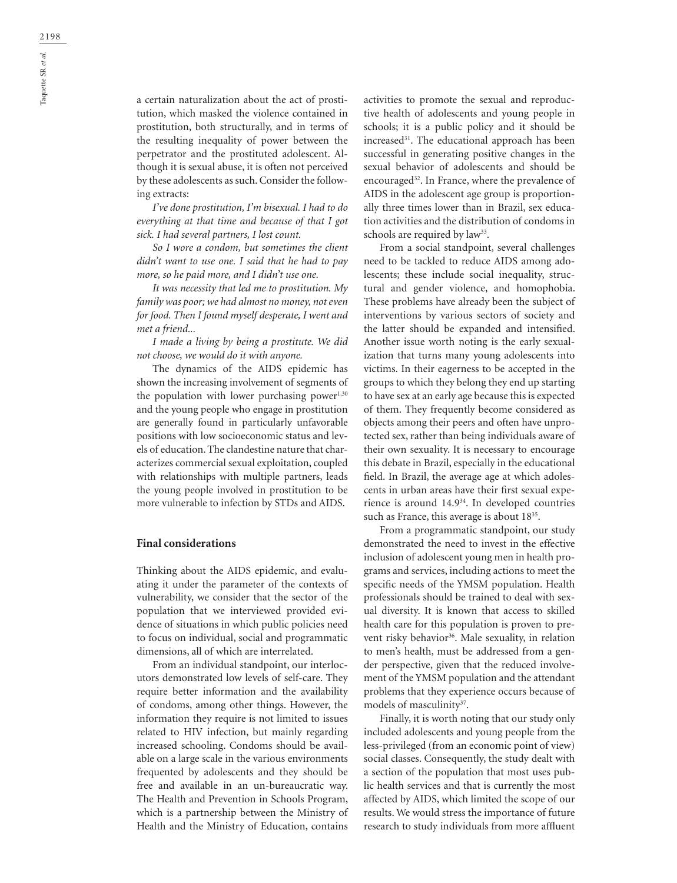a certain naturalization about the act of prostitution, which masked the violence contained in prostitution, both structurally, and in terms of the resulting inequality of power between the perpetrator and the prostituted adolescent. Although it is sexual abuse, it is often not perceived by these adolescents as such. Consider the following extracts:

*I've done prostitution, I'm bisexual. I had to do everything at that time and because of that I got sick. I had several partners, I lost count.*

*So I wore a condom, but sometimes the client didn't want to use one. I said that he had to pay more, so he paid more, and I didn't use one.*

*It was necessity that led me to prostitution. My family was poor; we had almost no money, not even for food. Then I found myself desperate, I went and met a friend...*

*I made a living by being a prostitute. We did not choose, we would do it with anyone.* 

The dynamics of the AIDS epidemic has shown the increasing involvement of segments of the population with lower purchasing power $1,30$ and the young people who engage in prostitution are generally found in particularly unfavorable positions with low socioeconomic status and levels of education. The clandestine nature that characterizes commercial sexual exploitation, coupled with relationships with multiple partners, leads the young people involved in prostitution to be more vulnerable to infection by STDs and AIDS.

#### **Final considerations**

Thinking about the AIDS epidemic, and evaluating it under the parameter of the contexts of vulnerability, we consider that the sector of the population that we interviewed provided evidence of situations in which public policies need to focus on individual, social and programmatic dimensions, all of which are interrelated.

From an individual standpoint, our interlocutors demonstrated low levels of self-care. They require better information and the availability of condoms, among other things. However, the information they require is not limited to issues related to HIV infection, but mainly regarding increased schooling. Condoms should be available on a large scale in the various environments frequented by adolescents and they should be free and available in an un-bureaucratic way. The Health and Prevention in Schools Program, which is a partnership between the Ministry of Health and the Ministry of Education, contains

activities to promote the sexual and reproductive health of adolescents and young people in schools; it is a public policy and it should be increased<sup>31</sup>. The educational approach has been successful in generating positive changes in the sexual behavior of adolescents and should be encouraged32. In France, where the prevalence of AIDS in the adolescent age group is proportionally three times lower than in Brazil, sex education activities and the distribution of condoms in schools are required by law<sup>33</sup>.

From a social standpoint, several challenges need to be tackled to reduce AIDS among adolescents; these include social inequality, structural and gender violence, and homophobia. These problems have already been the subject of interventions by various sectors of society and the latter should be expanded and intensified. Another issue worth noting is the early sexualization that turns many young adolescents into victims. In their eagerness to be accepted in the groups to which they belong they end up starting to have sex at an early age because this is expected of them. They frequently become considered as objects among their peers and often have unprotected sex, rather than being individuals aware of their own sexuality. It is necessary to encourage this debate in Brazil, especially in the educational field. In Brazil, the average age at which adolescents in urban areas have their first sexual experience is around 14.934. In developed countries such as France, this average is about  $18^{35}$ .

From a programmatic standpoint, our study demonstrated the need to invest in the effective inclusion of adolescent young men in health programs and services, including actions to meet the specific needs of the YMSM population. Health professionals should be trained to deal with sexual diversity. It is known that access to skilled health care for this population is proven to prevent risky behavior<sup>36</sup>. Male sexuality, in relation to men's health, must be addressed from a gender perspective, given that the reduced involvement of the YMSM population and the attendant problems that they experience occurs because of models of masculinity<sup>37</sup>.

Finally, it is worth noting that our study only included adolescents and young people from the less-privileged (from an economic point of view) social classes. Consequently, the study dealt with a section of the population that most uses public health services and that is currently the most affected by AIDS, which limited the scope of our results. We would stress the importance of future research to study individuals from more affluent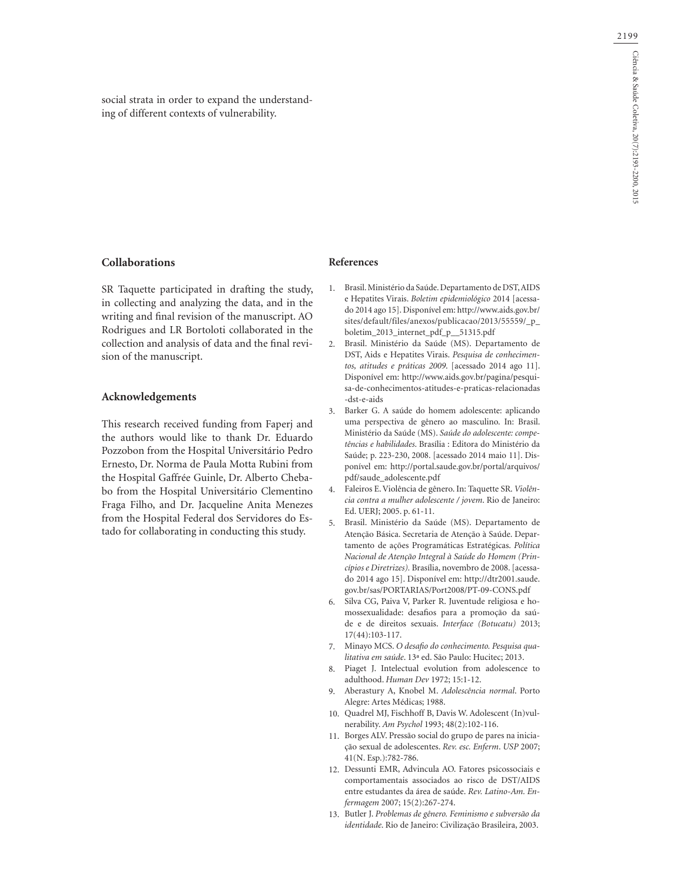social strata in order to expand the understanding of different contexts of vulnerability.

### **Collaborations**

SR Taquette participated in drafting the study, in collecting and analyzing the data, and in the writing and final revision of the manuscript. AO Rodrigues and LR Bortoloti collaborated in the collection and analysis of data and the final revision of the manuscript.

#### **Acknowledgements**

This research received funding from Faperj and the authors would like to thank Dr. Eduardo Pozzobon from the Hospital Universitário Pedro Ernesto, Dr. Norma de Paula Motta Rubini from the Hospital Gaffrée Guinle, Dr. Alberto Chebabo from the Hospital Universitário Clementino Fraga Filho, and Dr. Jacqueline Anita Menezes from the Hospital Federal dos Servidores do Estado for collaborating in conducting this study.

#### **References**

- Brasil. Ministério da Saúde. Departamento de DST, AIDS 1. e Hepatites Virais. *Boletim epidemiológico* 2014 [acessado 2014 ago 15]. Disponível em: http://www.aids.gov.br/ sites/default/files/anexos/publicacao/2013/55559/\_p\_ boletim\_2013\_internet\_pdf\_p\_\_51315.pdf
- Brasil. Ministério da Saúde (MS). Departamento de DST, Aids e Hepatites Virais. *Pesquisa de conhecimentos, atitudes e práticas 2009*. [acessado 2014 ago 11]. Disponível em: http://www.aids.gov.br/pagina/pesquisa-de-conhecimentos-atitudes-e-praticas-relacionadas -dst-e-aids 2.
- Barker G. A saúde do homem adolescente: aplicando uma perspectiva de gênero ao masculino. In: Brasil. Ministério da Saúde (MS). *Saúde do adolescente: competências e habilidades*. Brasília : Editora do Ministério da Saúde; p. 223-230, 2008. [acessado 2014 maio 11]. Disponível em: http://portal.saude.gov.br/portal/arquivos/ pdf/saude\_adolescente.pdf 3.
- Faleiros E. Violência de gênero. In: Taquette SR. *Violên-*4. *cia contra a mulher adolescente / jovem*. Rio de Janeiro: Ed. UERJ; 2005. p. 61-11.
- Brasil. Ministério da Saúde (MS). Departamento de 5. Atenção Básica. Secretaria de Atenção à Saúde. Departamento de ações Programáticas Estratégicas. *Política Nacional de Atenção Integral à Saúde do Homem (Princípios e Diretrizes).* Brasília, novembro de 2008. [acessado 2014 ago 15]. Disponível em: http://dtr2001.saude. gov.br/sas/PORTARIAS/Port2008/PT-09-CONS.pdf
- Silva CG, Paiva V, Parker R. Juventude religiosa e homossexualidade: desafios para a promoção da saúde e de direitos sexuais. *Interface (Botucatu)* 2013; 17(44):103-117. 6.
- Minayo MCS. *O desafio do conhecimento. Pesquisa qua-*7. *litativa em saúde*. 13ª ed. São Paulo: Hucitec; 2013.
- Piaget J. Intelectual evolution from adolescence to adulthood. *Human Dev* 1972; 15:1-12. 8.
- Aberastury A, Knobel M. *Adolescência normal*. Porto 9. Alegre: Artes Médicas; 1988.
- 10. Quadrel MJ, Fischhoff B, Davis W. Adolescent (In)vulnerability. *Am Psychol* 1993; 48(2):102-116.
- 11. Borges ALV. Pressão social do grupo de pares na iniciação sexual de adolescentes. *Rev. esc. Enferm*. *USP* 2007; 41(N. Esp.):782-786.
- Dessunti EMR, Advincula AO. Fatores psicossociais e 12. comportamentais associados ao risco de DST/AIDS entre estudantes da área de saúde. *Rev. Latino-Am. Enfermagem* 2007; 15(2):267-274.
- Butler J. *Problemas de gênero. Feminismo e subversão da*  13. *identidade*. Rio de Janeiro: Civilização Brasileira, 2003.